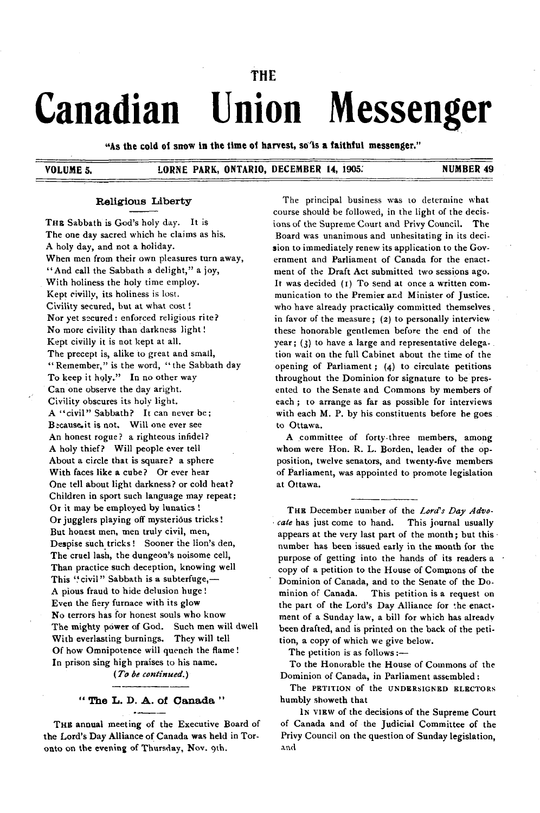# **THE** Canadian Union Messenger

"As the cold of snow in the time of harvest, so'is a faithful messenger."

## VOLUME 5. LORNE PARK, ONTARIO, DECEMBER 14, 1905. NUMBER 49

#### **Religious Liberty**

THE Sabbath is God's holy day. It is The one day sacred which he claims as his. A holy day, and not a holiday. When men from their own pleasures turn away, " And call the Sabbath a delight," a joy, With holiness the holy time employ. Kept civilly, its holiness is lost. Civility secured, but at what cost ! Nor yet secured: enforced religious rite? No more civility than darkness light ! Kept civilly it is not kept at all. The precept is, alike to great and small, " Remember," is the word, "the Sabbath day To keep it holy." In no other way Can one observe the day aright. Civility obscures its holy light. A "civil" Sabbath? It can never be; Because it is not. Will one ever see An honest rogue? a righteous infidel? A holy thief? Will people ever tell About a circle that is square? a sphere With faces like a cube? Or ever hear One tell about light darkness? or cold heat? Children in sport such language may repeat; Or it may be employed by lunatics ! Or jugglers playing off mysterious tricks! But honest men, men truly civil, men, Despise such tricks! Sooner the lion's den, The cruel lash, the dungeon's noisome cell, Than practice such deception, knowing well This "civil" Sabbath is a subterfuge,-A pious fraud to hide delusion huge ! Even the fiery furnace with its glow No terrors has for honest souls who know The mighty power of God. Such men will dwell With everlasting burnings. They will tell Of how Omnipotence will quench the flame ! In prison sing high praises to his name.

*(T o be continued.)*

## " The L. D. A. of Canada "

THE annual meeting of the Executive Board of the Lord's Day Alliance of Canada was held in Toronto on the evening of Thursday, Nov. 9th.

The principal business was to determine what course should be followed, in the light of the decisions of the Supreme Court and Privy Council. The Board was unanimous and unhesitating in its decision to immediately renew its application to the Government and Parliament of Canada for the enactment of the Draft Act submitted two sessions ago. It was decided (1) To send at once a written communication to the Premier and Minister of Justice. who have already practically committed themselves . in favor of the measure; (2) to personally interview these honorable gentlemen before the end of the year; (3) to have a large and representative delega-. tion wait on the full Cabinet about the time of the opening of Parliament;  $(4)$  to circulate petitions throughout the Dominion for signature to be presented to the Senate and Commons by members of each; to arrange as far as possible for interviews with each M. P. by his constituents before he goes to Ottawa.

A committee of forty-three members, among whom were Hon. R. L. Borden, leader of the opposition, twelve senators, and twenty-five members of Parliament, was appointed to promote legislation at Ottawa.

THE December number of the Lord's Day Advo*cate* has just come to hand. This journal usually appears at the very last part of the month; but this number has been issued early in the month for the purpose of getting into the hands of its readers a copy of a petition to the House of Commons of the Dominion of Canada, and to the Senate of the Dominion of Canada. This petition is a request on the part of the Lord's Day Alliance for the enactment of a Sunday law, a bill for which has already been drafted, and is printed on the back of the petition, a copy of which we give below.

The petition is as follows  $:$ --

To the Honorable the House of Commons of the Dominion of Canada, in Parliament assembled :

The PETITION of the UNDERSIGNED ELECTORS humbly showeth that

IN VIEW of the decisions of the Supreme Court of Canada and of the Judicial Committee of the Privy Council on the question of Sunday legislation, and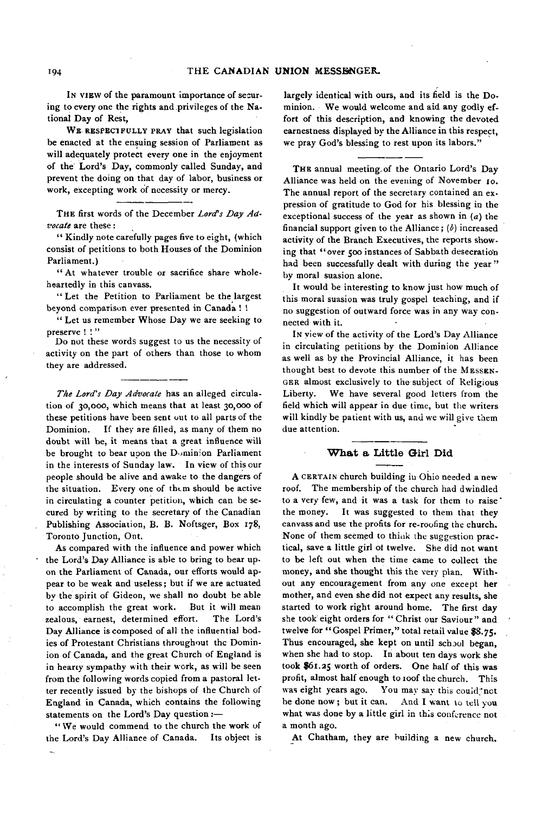In vIEW of the paramount importance of securing to every one the rights and privileges of the National Day of Rest,

WR RESPECTFULLY PRAY that such legislation be enacted at the ensuing session of Parliament as will adequately protect every one in the enjoyment of the Lord's Day, commonly called Sunday, and prevent the doing on that day of labor, business or work, excepting work of necessity or mercy.

THE first words of the December Lord's Day Ad*vocate* are these:

" Kindly note carefully pages five to eight, (which consist of petitions to both Houses of the Dominion Parliament.)

" At whatever trouble or sacrifice share wholeheartedly in this canvass.

" Let the Petition to Parliament be the largest beyond comparison ever presented in Canada ! !

" Let us remember Whose Day we are seeking to preserve !!"

Do not these words suggest to us the necessity of activity on the part of others than those to whom they are addressed.

The Lord's Day Advocate has an alleged circulation of 30,000, which means that at least 30,000 of these petitions have been sent out to all parts of the Dominion. If they are filled, as many of them no doubt will be, it means that a great influence will be brought to bear upon the Dominion Parliament in the interests of Sunday law. In view of this our people should be alive and awake to the dangers of the situation. Every one of them should be active in circulating a counter petition, which can be secured by writing to the secretary of the Canadian Publishing Association, B. B. Noftsger, Box 178, Toronto Junction, Ont.

As compared with the influence and power which the Lord's Day Alliance is able to bring to bear upon the Parliament of Canada, our efforts would appear to be weak and useless; but if we are actuated by the spirit of Gideon, we shall no doubt be able to accomplish the great work. But it will mean zealous, earnest, determined effort. The Lord's Day Alliance is composed of all the influential bodies of Protestant Christians throughout the Dominion of Canada, and the great Church of England is in hearty sympathy with their work, as will be seen from the following words copied from a pastoral letter recently issued by the bishops of the Church of England in Canada, which contains the following statements on the Lord's Day question :-

"We would commend to the church the work of the Lord's Day Alliance of Canada. Its object is

largely identical with ours, and its field is the Dominion. We would welcome and aid any godly effort of this description, and knowing the devoted earnestness displayed by the Alliance in this respect, we pray God's blessing to rest upon its labors."

THE annual meeting of the Ontario Lord's Day Alliance was held on the evening of November 10. The annual report of the secretary contained an expression of gratitude to God for his blessing in the exceptional success of the year as shown in  $(a)$  the financial support given to the Alliance;  $(b)$  increased activity of the Branch Executives, the reports showing that "over 500 instances of Sabbath desecration had been successfully dealt with during the year" by moral suasion alone.

It would be interesting to know just how much of this moral suasion was truly gospel teaching, and if no suggestion of outward force was in any way connected with it.

In view of the activity of the Lord's Day Alliance in circulating petitions by the Dominion Alliance as well as by the Provincial Alliance, it has been thought best to devote this number of the MESSEN-GER almost exclusively to the subject of Religious Liberty. We have several good letters from the field which will appear in due time, but the writers will kindly be patient with us, and we will give them due attention.

#### **W h at a Little Girl Did**

A CERTAIN church building in Ohio needed a new roof. The membership of the church had dwindled to a very few, and it was a task for them to raise' the money. It was suggested to them that they canvass and use the profits for re-roofing the church. None of them seemed to think the suggestion practical, save a little girl ot twelve. She did not want to be left out when the time came to collect the money, and she thought this the very plan. Without any encouragement from any one except her mother, and even she did not expect any results, she started to work right around home. The first day she took eight orders for "Christ our Saviour" and twelve for "Gospel Primer," total retail value \$8.75. Thus encouraged, she kept on until school began, when she had to stop. In about ten days work she took \$61.25 worth of orders. One half of this was profit, almost half enough to roof the church. This was eight years ago. You may say this could not be done now; but it can. And I want to tell you what was done by a little girl in this conference not a m onth ago.

At Chatham, they are building a new church.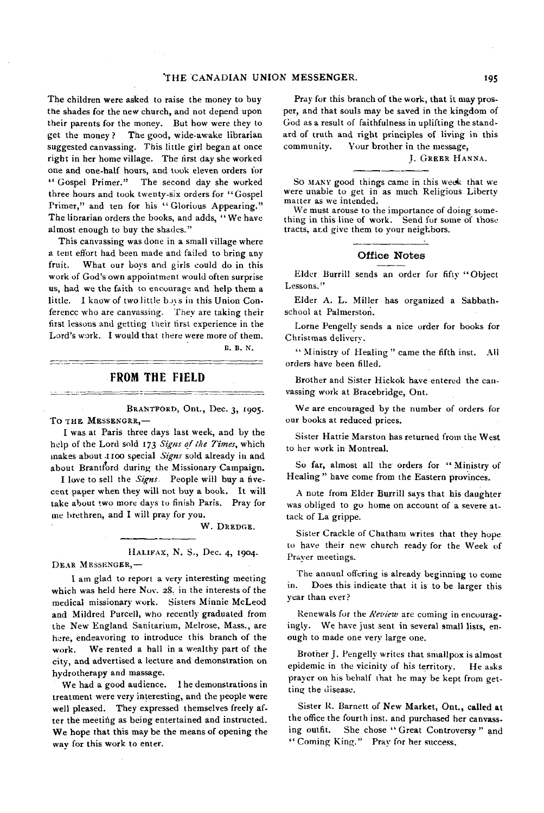The children were asked to raise the money to buy the shades for the new church, and not depend upon their parents for the money. But how were they to get the money? The good, wide-awake librarian suggested canvassing. This little girl began at once right in her home village. The first day she worked one and one-half hours, and took eleven orders for " Gospel Primer." The second day she worked three hours and took twenty-six orders for "Gospel Primer," and ten for his " Glorious Appearing." The librarian orders the books, and adds, "We have almost enough to buy the shades."

This canvassing was done in a small village where a tent effort had been made and failed to bring any fruit. What our boys and girls could do in this work of God's own appointment would often surprise us, had we the faith to encourage and help them a little. I know of two little boys in this Union Conference who are canvassing. They are taking their first lessons and getting their first experience in the Lord's work. I would that there were more of them.

B. B. N.

## FROM THE FIELD

BRANTFORD, Ont., Dec. 3, 1905. TO THE MESSENGRR,-

I was at Paris three days last week, and by the help of the Lord sold 173 Signs of the Times, which m akes about .1100 special *Signs* sold already in and about Brantford during the Missionary Campaign.

I love to sell the *Signs* People will buy a fivecent paper when they will not buy a book. It will take about two more days to finish Paris. Pray for me brethren, and I will pray for you.

W. DREDGE.

HALIFAX, N. S., Dec. 4, 1904.

DEAR MESSENGER,-

I am glad to report a very interesting meeting which was held here Nov. 28, in the interests of the medical missionary work. Sisters Minnie McLeod and Mildred Purcell, who recently graduated from the New England Sanitarium, Melrose, Mass., are here, endeavoring to introduce this branch of the work. We rented a hall in a wealthy part of the city, and advertised a lecture and demonstration on hydrotherapy and massage.

We had a good audience. I he demonstrations in treatment were very interesting, and the people were well pleased. They expressed themselves freely after the meeting as being entertained and instructed. We hope that this may be the means of opening the way for this work to enter.

Pray for this branch of the work, that it may prosper, and that souls may be saved in the kingdom of God as a result of faithfulness in uplifting the standard of truth and right principles of living in this community. Your brother in the message,

J. GREER HANNA.

So MANY good things came in this week that we were unable to get in as much Religious Liberty matter as we intended.

We must arouse to the importance of doing something in this line of work. Send for some of those tracts, ar.d give them to your neighbors.

#### **Office Notes**

Elder Burrill sends an order for fifty "Object Lessons."

Elder A. L. Miller has organized a Sabbathschool at Palmerston.

Lorne Pengelly sends a nice order for books for Christmas delivery.

" Ministry of Healing" came the fifth inst. All orders have been filled.

Brother and Sister Hickok have entered the canvassing work at Bracebridge, Ont.

We are encouraged by the number of orders for our books at reduced prices.

Sister Hattie Marston has returned from the West to her work in Montreal.

So far, almost all the orders for "Ministry of Healing" have come from the Eastern provinces.

A note from Elder Burrill says that his daughter was obliged to go home on account of a severe attack of La grippe.

Sister Crackle of Chatham writes that they hope to have their new church ready for the Week of Prayer meetings.

The annual offering is already beginning to come in. Does this indicate that it is to be larger this year than ever?

Renewals for the *Review* are coming in encouragingly. We have just sent in several small lists, enough to made one very large one.

Brother J. Pengelly writes that smallpox is almost epidemic in the vicinity of his territory. He asks prayer on his behalf that he may be kept from getting the disease.

Sister R. Barnett of New Market, Ont., called at the office the fourth inst. and purchased her canvassing outfit. She chose " Great Controversy" and " Coming King." Pray for her success.